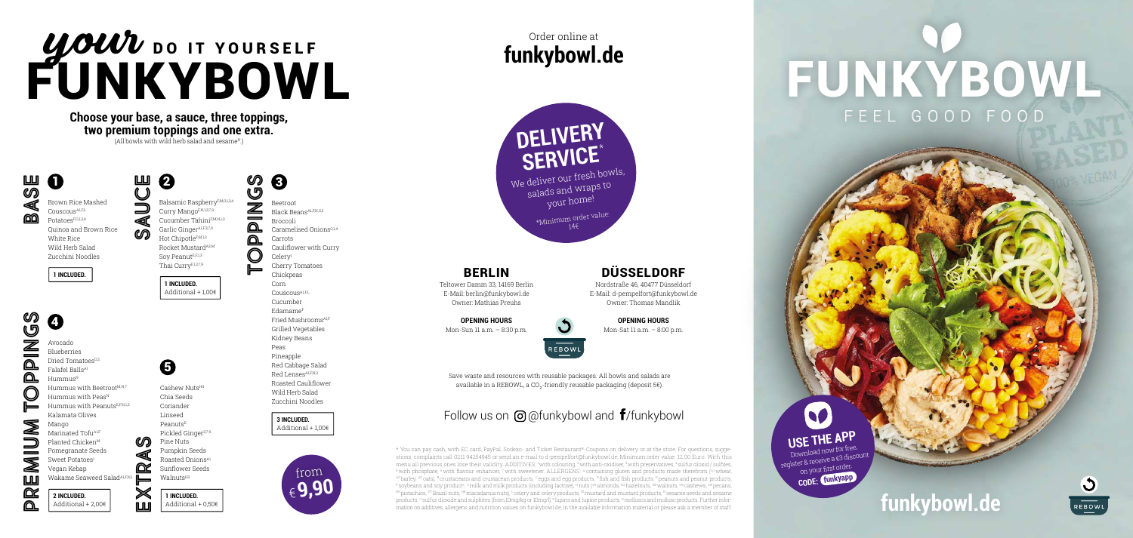#### BERLIN

Teltower Damm 33, 14169 Berlin E-Mail: berlin@funkybowl.de Owner: Mathias Preuhs

> Save waste and resources with reusable packages. All bowls and salads are available in a REBOWL, a CO<sub>2</sub>-friendly reusable packaging (deposit 5€).

#### Follow us on  $\Theta$  @funkybowl and  $\mathbf{f}$ /funkybowl

**OPENING HOURS** Mon-Sun 11 a.m. – 8:30 p.m.



\* You can pay cash, with EC card, PayPal, Sodexo- and Ticket Restaurant®-Coupons on delivery or at the store. For questions, suggestions, complaints call 0211 94254945 or send an e-mail to d-pempelfort@funkybowl.de. Minimum order value: 12,00 Euro. With this menu all previous ones lose their validity. ADDITIVES: 1 with colouring, 2 with anti-oxidiser, 3 with preservatives, 4 sulfur dioxid / sulfites,  $5$  with phosphate,  $6$  with flavour enhancer,  $7$  with sweetener. ALLERGENS:  $4$  containing gluten and products made therefrom  $\binom{A1}{A}$  wheat, A2 barley, A3 oats), B crustaceans and crustacean products, Ceggs and egg products, D fish and fish products, E peanuts and peanut products, F soybeans and soy products, <sup>c</sup>milk and milk products (including lactose), <sup>H</sup>nuts (<del>H</del>lalmonds, H2 hazelnuts, H3 walnuts, H4 cashews, H5 pecans, H6 pistachios, H7 Brazil nuts, H8 macadamia nuts), <sup>L</sup> celery and celery products, <sup>M</sup> mustard and mustard products, <sup>N</sup> sesame seeds and sesame products, <sup>o</sup> sulfur dioxide and sulphites (from 10mg/kg or 10mg/l), <sup>p</sup> lupins and lupine products, R molluscs and mollusc products. Further inforexplay on the state in the state in the state of the state information values on funkybowl.de, in the available information material or please ask a member of staff. **Funchy and the state of the state information** on addit

#### **funkybowl.de** Order online at

#### DÜSSELDORF

Nordstraße 46, 40477 Düsseldorf E-Mail: d-pempelfort@funkybowl.de Owner: Thomas Mandlik

#### **OPENING HOURS**

Mon-Sat 11 a.m. – 8:00 p.m.



### UOUU DO IT YOURSELF FUNKYBOWL

**3 INCLUDED.**  Additional  $+100$ €

Hummus with Peas<sup>N</sup> Hummus with PeanutsE,F,N,1,3 Kalamata Olives Marinated Tofu<sup>A1,F</sup> Planted Chicken<sup>M</sup> Pomegranate Seeds Sweet Potatoes<sup>1</sup> Vegan Kebap

Wakame Seaweed Salad<sup>A1,F,I</sup>

**Choose your base, a sauce, three toppings, two premium toppings and one extra.**  $(A)$ l bowls with wild herb salad and sesame<sup>N</sup>.

 $\boldsymbol{Q}$ 

 $\Omega$ **BASE** 

> Download now for free register & receive a €3 discount on your first order.  **CODE: funkyapp**



### FUNKYBOWL FEEL GOOD FOOD

Brown Rice Mashed Couscous<sup>A1,FL</sup> PotatoesF,O,1,2,4 Quinoa and Brown Rice White Rice Wild Herb Salad Zucchini Noodles

**1 INCLUDED.** 

ၯ **PREMIUM TOPPINGS** 0  $\check{\mathcal{Q}}$ Ź Avocado Blueberries Dried Tomatoes<sup>0,2</sup>  $\Omega$ Falafel BallsA1  $\Omega$  $H$ ummus $N$ Hummus with Beetroot<sup>M,N,7</sup> ┡ Mango ◢

 $\equiv$ Ø **LLU** 

œ ⋒



**1 INCLUDED.**  Additional + 1,00€

**SAUCE**

Beetroot Black BeansA1,F,N,O,3 Broccoli

8

Caramelised Onions<sup>0,1,4</sup>

Carrots Cauliflower with Curry Celeryl Cherry Tomatoes Chickpeas Corn Couscous<sup>A1,FL</sup> Cucumber EdamameF Fried Mushrooms<sup>A1,1</sup> Grilled Vegetables Kidney Beans Peas Pineapple Red Cabbage Salad Red Lenses<sup>A1,F,N,3</sup> Roasted Cauliflower Wild Herb Salad Zucchini Noodles

**2 INCLUDED.**  Additional + 2,00€

Cashew NutsH4 Chia Seeds Coriander Linseed Peanuts<sup>E</sup> Pickled Ginger3,7,9 Pine Nuts Pumpkin Seeds Roasted OnionsA1 Sunflower Seeds

 $\boldsymbol{\Theta}$ 

ഗ **TOPPINGS** G Balsamic RaspberryF,M,O,1,3,4  $\bar{\mathbb{Z}}$ Curry MangoF,N,1,3,7,9  $\qquad \qquad$ Cucumber TahiniF,M,N,1,3 <u>മ</u> Garlic Ginger<sup>A1,F,3,7,9</sup>  $\Omega$ Hot ChipotleF,M,1,3 Rocket Mustard<sup>A3,M</sup> C Soy PeanutE,F,1,3 Thai CurryF,1,3,7,9